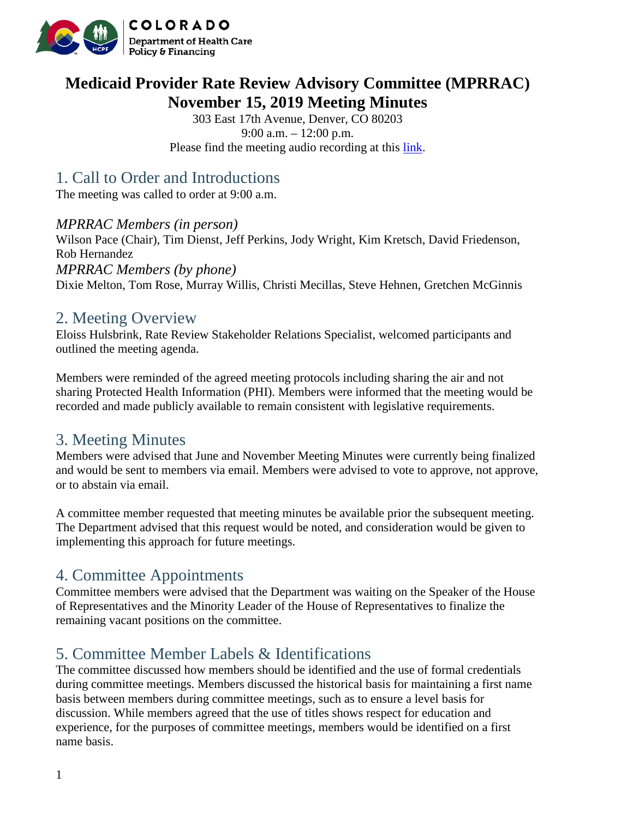

# **Medicaid Provider Rate Review Advisory Committee (MPRRAC) November 15, 2019 Meeting Minutes**

303 East 17th Avenue, Denver, CO 80203 9:00 a.m. – 12:00 p.m. Please find the meeting audio recording at this [link.](https://cohcpf.adobeconnect.com/pmu7o46r0qcy/)

# 1. Call to Order and Introductions

The meeting was called to order at 9:00 a.m.

#### *MPRRAC Members (in person)*

Wilson Pace (Chair), Tim Dienst, Jeff Perkins, Jody Wright, Kim Kretsch, David Friedenson, Rob Hernandez *MPRRAC Members (by phone)*  Dixie Melton, Tom Rose, Murray Willis, Christi Mecillas, Steve Hehnen, Gretchen McGinnis

### 2. Meeting Overview

Eloiss Hulsbrink, Rate Review Stakeholder Relations Specialist, welcomed participants and outlined the meeting agenda.

Members were reminded of the agreed meeting protocols including sharing the air and not sharing Protected Health Information (PHI). Members were informed that the meeting would be recorded and made publicly available to remain consistent with legislative requirements.

## 3. Meeting Minutes

Members were advised that June and November Meeting Minutes were currently being finalized and would be sent to members via email. Members were advised to vote to approve, not approve, or to abstain via email.

A committee member requested that meeting minutes be available prior the subsequent meeting. The Department advised that this request would be noted, and consideration would be given to implementing this approach for future meetings.

## 4. Committee Appointments

Committee members were advised that the Department was waiting on the Speaker of the House of Representatives and the Minority Leader of the House of Representatives to finalize the remaining vacant positions on the committee.

# 5. Committee Member Labels & Identifications

The committee discussed how members should be identified and the use of formal credentials during committee meetings. Members discussed the historical basis for maintaining a first name basis between members during committee meetings, such as to ensure a level basis for discussion. While members agreed that the use of titles shows respect for education and experience, for the purposes of committee meetings, members would be identified on a first name basis.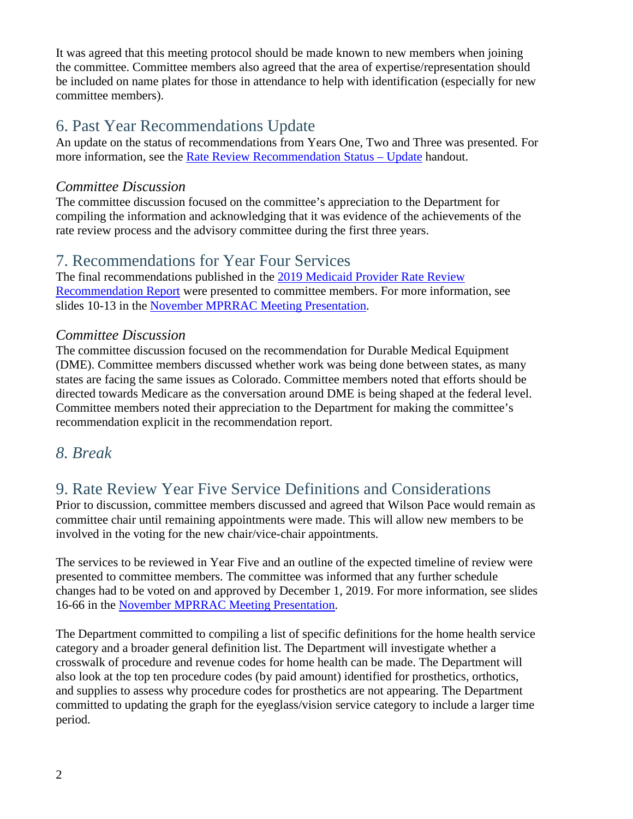It was agreed that this meeting protocol should be made known to new members when joining the committee. Committee members also agreed that the area of expertise/representation should be included on name plates for those in attendance to help with identification (especially for new committee members).

# 6. Past Year Recommendations Update

An update on the status of recommendations from Years One, Two and Three was presented. For more information, see the [Rate Review Recommendation Status –](https://www.colorado.gov/pacific/sites/default/files/Updates_PastRecommendations_MPRRAC_Nov2019%20%281%29.pdf) Update handout.

#### *Committee Discussion*

The committee discussion focused on the committee's appreciation to the Department for compiling the information and acknowledging that it was evidence of the achievements of the rate review process and the advisory committee during the first three years.

## 7. Recommendations for Year Four Services

The final recommendations published in the [2019 Medicaid Provider](https://www.colorado.gov/pacific/sites/default/files/2019%20Medicaid%20Provider%20Rate%20Review%20Recommendation%20Report_v3_0.pdf) Rate Review [Recommendation Report](https://www.colorado.gov/pacific/sites/default/files/2019%20Medicaid%20Provider%20Rate%20Review%20Recommendation%20Report_v3_0.pdf) were presented to committee members. For more information, see slides 10-13 in the [November MPRRAC Meeting Presentation.](https://www.colorado.gov/pacific/sites/default/files/MPRRAC_PresentationSlides_15Nov2019.pdf)

### *Committee Discussion*

The committee discussion focused on the recommendation for Durable Medical Equipment (DME). Committee members discussed whether work was being done between states, as many states are facing the same issues as Colorado. Committee members noted that efforts should be directed towards Medicare as the conversation around DME is being shaped at the federal level. Committee members noted their appreciation to the Department for making the committee's recommendation explicit in the recommendation report.

### *8. Break*

# 9. Rate Review Year Five Service Definitions and Considerations

Prior to discussion, committee members discussed and agreed that Wilson Pace would remain as committee chair until remaining appointments were made. This will allow new members to be involved in the voting for the new chair/vice-chair appointments.

The services to be reviewed in Year Five and an outline of the expected timeline of review were presented to committee members. The committee was informed that any further schedule changes had to be voted on and approved by December 1, 2019. For more information, see slides 16-66 in the [November MPRRAC Meeting Presentation.](https://www.colorado.gov/pacific/sites/default/files/MPRRAC_PresentationSlides_15Nov2019.pdf)

The Department committed to compiling a list of specific definitions for the home health service category and a broader general definition list. The Department will investigate whether a crosswalk of procedure and revenue codes for home health can be made. The Department will also look at the top ten procedure codes (by paid amount) identified for prosthetics, orthotics, and supplies to assess why procedure codes for prosthetics are not appearing. The Department committed to updating the graph for the eyeglass/vision service category to include a larger time period.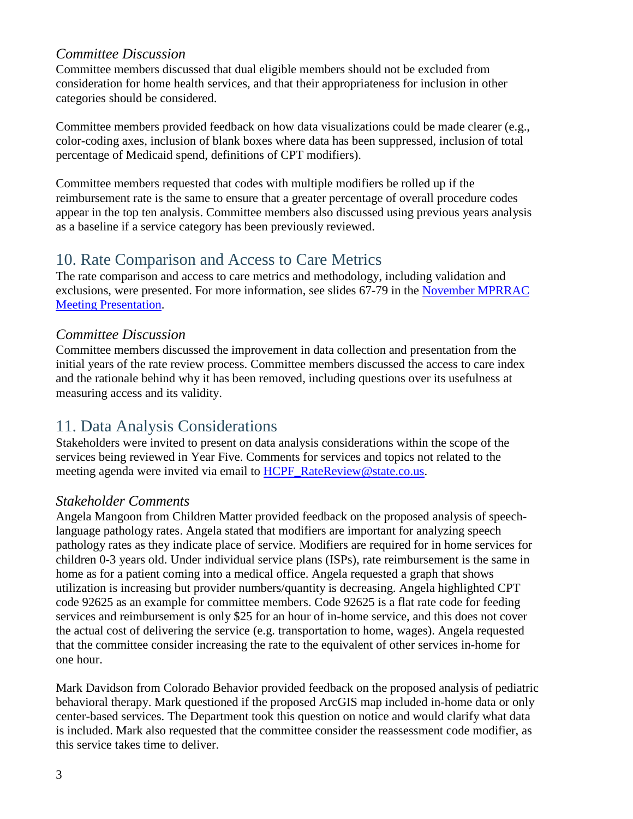#### *Committee Discussion*

Committee members discussed that dual eligible members should not be excluded from consideration for home health services, and that their appropriateness for inclusion in other categories should be considered.

Committee members provided feedback on how data visualizations could be made clearer (e.g., color-coding axes, inclusion of blank boxes where data has been suppressed, inclusion of total percentage of Medicaid spend, definitions of CPT modifiers).

Committee members requested that codes with multiple modifiers be rolled up if the reimbursement rate is the same to ensure that a greater percentage of overall procedure codes appear in the top ten analysis. Committee members also discussed using previous years analysis as a baseline if a service category has been previously reviewed.

## 10. Rate Comparison and Access to Care Metrics

The rate comparison and access to care metrics and methodology, including validation and exclusions, were presented. For more information, see slides 67-79 in the [November MPRRAC](https://www.colorado.gov/pacific/sites/default/files/MPRRAC_PresentationSlides_15Nov2019.pdf)  [Meeting Presentation.](https://www.colorado.gov/pacific/sites/default/files/MPRRAC_PresentationSlides_15Nov2019.pdf)

#### *Committee Discussion*

Committee members discussed the improvement in data collection and presentation from the initial years of the rate review process. Committee members discussed the access to care index and the rationale behind why it has been removed, including questions over its usefulness at measuring access and its validity.

## 11. Data Analysis Considerations

Stakeholders were invited to present on data analysis considerations within the scope of the services being reviewed in Year Five. Comments for services and topics not related to the meeting agenda were invited via email to [HCPF\\_RateReview@state.co.us.](mailto:HCPF_RateReview@state.co.us)

### *Stakeholder Comments*

Angela Mangoon from Children Matter provided feedback on the proposed analysis of speechlanguage pathology rates. Angela stated that modifiers are important for analyzing speech pathology rates as they indicate place of service. Modifiers are required for in home services for children 0-3 years old. Under individual service plans (ISPs), rate reimbursement is the same in home as for a patient coming into a medical office. Angela requested a graph that shows utilization is increasing but provider numbers/quantity is decreasing. Angela highlighted CPT code 92625 as an example for committee members. Code 92625 is a flat rate code for feeding services and reimbursement is only \$25 for an hour of in-home service, and this does not cover the actual cost of delivering the service (e.g. transportation to home, wages). Angela requested that the committee consider increasing the rate to the equivalent of other services in-home for one hour.

Mark Davidson from Colorado Behavior provided feedback on the proposed analysis of pediatric behavioral therapy. Mark questioned if the proposed ArcGIS map included in-home data or only center-based services. The Department took this question on notice and would clarify what data is included. Mark also requested that the committee consider the reassessment code modifier, as this service takes time to deliver.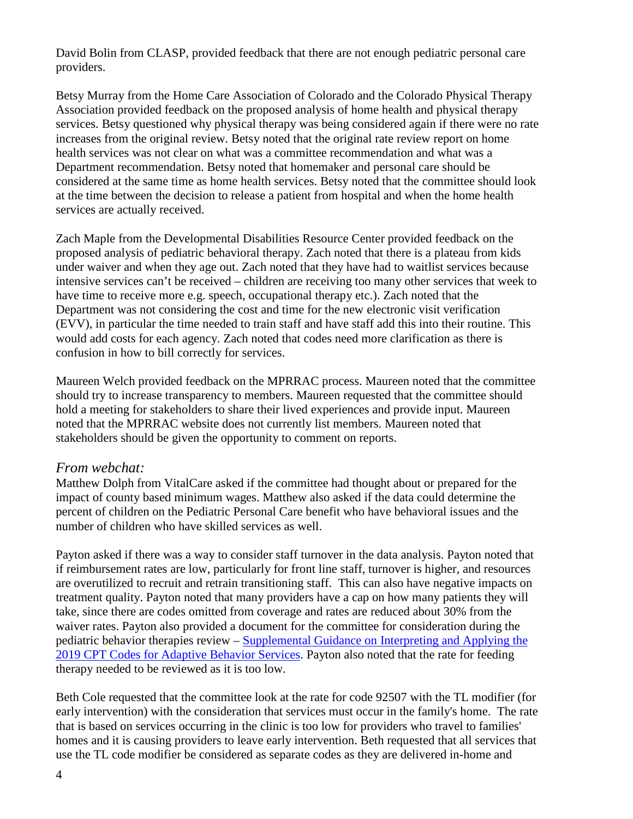David Bolin from CLASP, provided feedback that there are not enough pediatric personal care providers.

Betsy Murray from the Home Care Association of Colorado and the Colorado Physical Therapy Association provided feedback on the proposed analysis of home health and physical therapy services. Betsy questioned why physical therapy was being considered again if there were no rate increases from the original review. Betsy noted that the original rate review report on home health services was not clear on what was a committee recommendation and what was a Department recommendation. Betsy noted that homemaker and personal care should be considered at the same time as home health services. Betsy noted that the committee should look at the time between the decision to release a patient from hospital and when the home health services are actually received.

Zach Maple from the Developmental Disabilities Resource Center provided feedback on the proposed analysis of pediatric behavioral therapy. Zach noted that there is a plateau from kids under waiver and when they age out. Zach noted that they have had to waitlist services because intensive services can't be received – children are receiving too many other services that week to have time to receive more e.g. speech, occupational therapy etc.). Zach noted that the Department was not considering the cost and time for the new electronic visit verification (EVV), in particular the time needed to train staff and have staff add this into their routine. This would add costs for each agency. Zach noted that codes need more clarification as there is confusion in how to bill correctly for services.

Maureen Welch provided feedback on the MPRRAC process. Maureen noted that the committee should try to increase transparency to members. Maureen requested that the committee should hold a meeting for stakeholders to share their lived experiences and provide input. Maureen noted that the MPRRAC website does not currently list members. Maureen noted that stakeholders should be given the opportunity to comment on reports.

#### *From webchat:*

Matthew Dolph from VitalCare asked if the committee had thought about or prepared for the impact of county based minimum wages. Matthew also asked if the data could determine the percent of children on the Pediatric Personal Care benefit who have behavioral issues and the number of children who have skilled services as well.

Payton asked if there was a way to consider staff turnover in the data analysis. Payton noted that if reimbursement rates are low, particularly for front line staff, turnover is higher, and resources are overutilized to recruit and retrain transitioning staff. This can also have negative impacts on treatment quality. Payton noted that many providers have a cap on how many patients they will take, since there are codes omitted from coverage and rates are reduced about 30% from the waiver rates. Payton also provided a document for the committee for consideration during the pediatric behavior therapies review – [Supplemental Guidance on Interpreting and Applying the](https://www.abainternational.org/ABAIUploads/Practice/New_CPT_Codes_Supplemental_Guidance_1_9_19.pdf)  [2019 CPT Codes for Adaptive Behavior Services.](https://www.abainternational.org/ABAIUploads/Practice/New_CPT_Codes_Supplemental_Guidance_1_9_19.pdf) Payton also noted that the rate for feeding therapy needed to be reviewed as it is too low.

Beth Cole requested that the committee look at the rate for code 92507 with the TL modifier (for early intervention) with the consideration that services must occur in the family's home. The rate that is based on services occurring in the clinic is too low for providers who travel to families' homes and it is causing providers to leave early intervention. Beth requested that all services that use the TL code modifier be considered as separate codes as they are delivered in-home and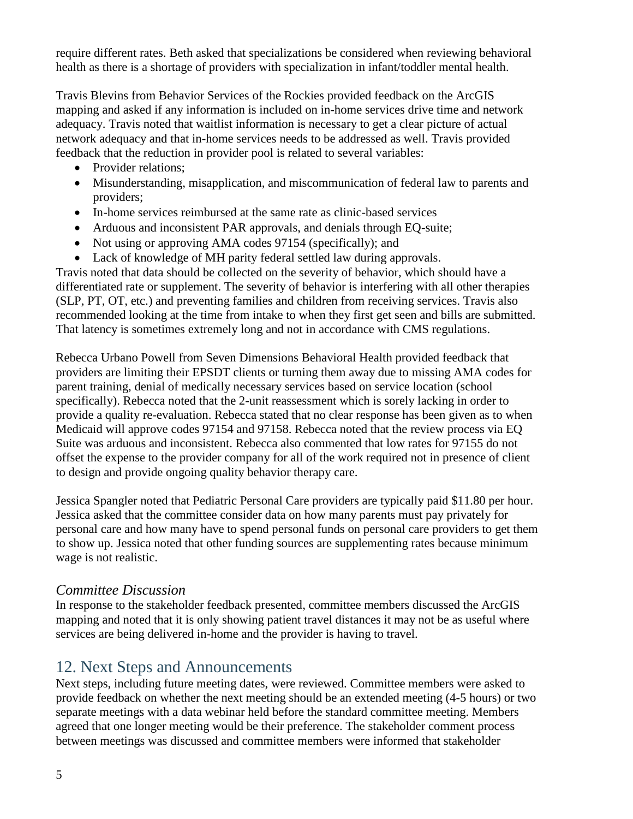require different rates. Beth asked that specializations be considered when reviewing behavioral health as there is a shortage of providers with specialization in infant/toddler mental health.

Travis Blevins from Behavior Services of the Rockies provided feedback on the ArcGIS mapping and asked if any information is included on in-home services drive time and network adequacy. Travis noted that waitlist information is necessary to get a clear picture of actual network adequacy and that in-home services needs to be addressed as well. Travis provided feedback that the reduction in provider pool is related to several variables:

- Provider relations;
- Misunderstanding, misapplication, and miscommunication of federal law to parents and providers;
- In-home services reimbursed at the same rate as clinic-based services
- Arduous and inconsistent PAR approvals, and denials through EQ-suite;
- Not using or approving AMA codes 97154 (specifically); and
- Lack of knowledge of MH parity federal settled law during approvals.

Travis noted that data should be collected on the severity of behavior, which should have a differentiated rate or supplement. The severity of behavior is interfering with all other therapies (SLP, PT, OT, etc.) and preventing families and children from receiving services. Travis also recommended looking at the time from intake to when they first get seen and bills are submitted. That latency is sometimes extremely long and not in accordance with CMS regulations.

Rebecca Urbano Powell from Seven Dimensions Behavioral Health provided feedback that providers are limiting their EPSDT clients or turning them away due to missing AMA codes for parent training, denial of medically necessary services based on service location (school specifically). Rebecca noted that the 2-unit reassessment which is sorely lacking in order to provide a quality re-evaluation. Rebecca stated that no clear response has been given as to when Medicaid will approve codes 97154 and 97158. Rebecca noted that the review process via EQ Suite was arduous and inconsistent. Rebecca also commented that low rates for 97155 do not offset the expense to the provider company for all of the work required not in presence of client to design and provide ongoing quality behavior therapy care.

Jessica Spangler noted that Pediatric Personal Care providers are typically paid \$11.80 per hour. Jessica asked that the committee consider data on how many parents must pay privately for personal care and how many have to spend personal funds on personal care providers to get them to show up. Jessica noted that other funding sources are supplementing rates because minimum wage is not realistic.

#### *Committee Discussion*

In response to the stakeholder feedback presented, committee members discussed the ArcGIS mapping and noted that it is only showing patient travel distances it may not be as useful where services are being delivered in-home and the provider is having to travel.

# 12. Next Steps and Announcements

Next steps, including future meeting dates, were reviewed. Committee members were asked to provide feedback on whether the next meeting should be an extended meeting (4-5 hours) or two separate meetings with a data webinar held before the standard committee meeting. Members agreed that one longer meeting would be their preference. The stakeholder comment process between meetings was discussed and committee members were informed that stakeholder